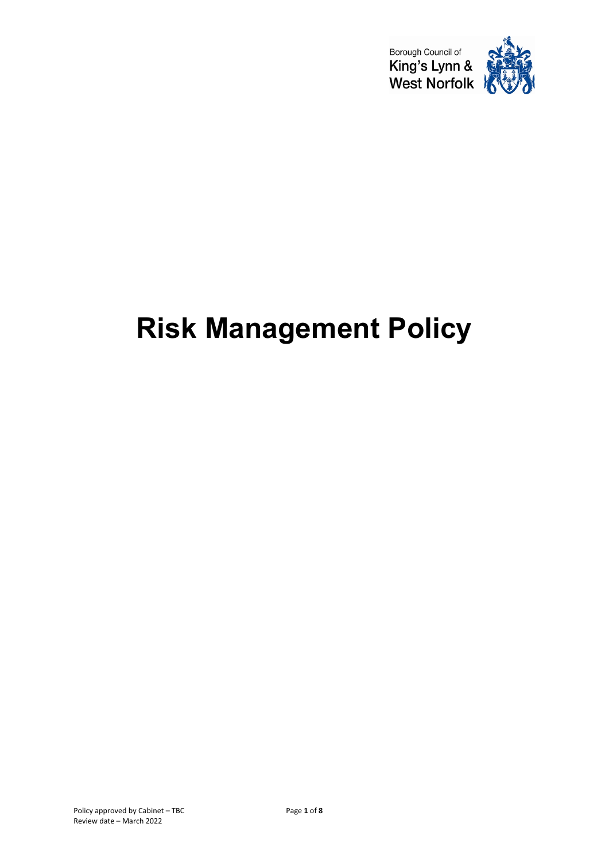

# **Risk Management Policy**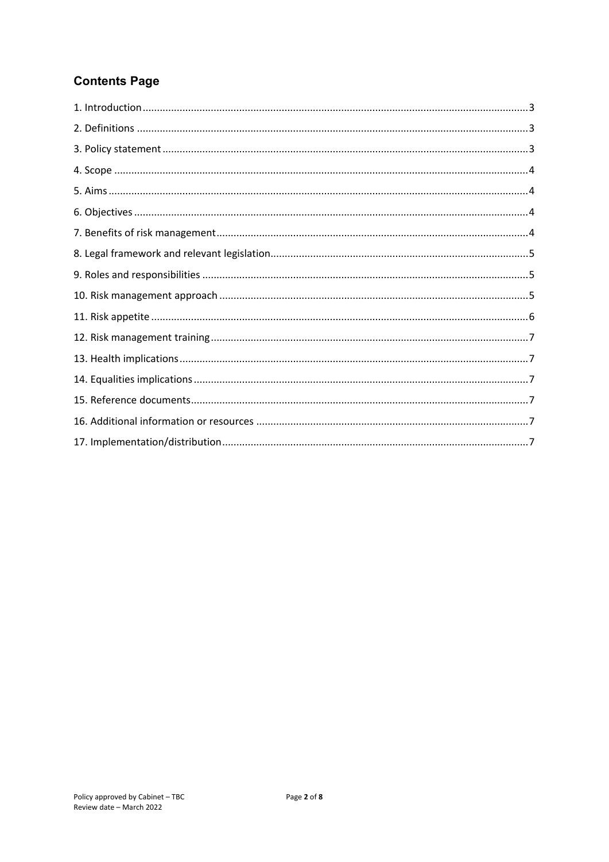# **Contents Page**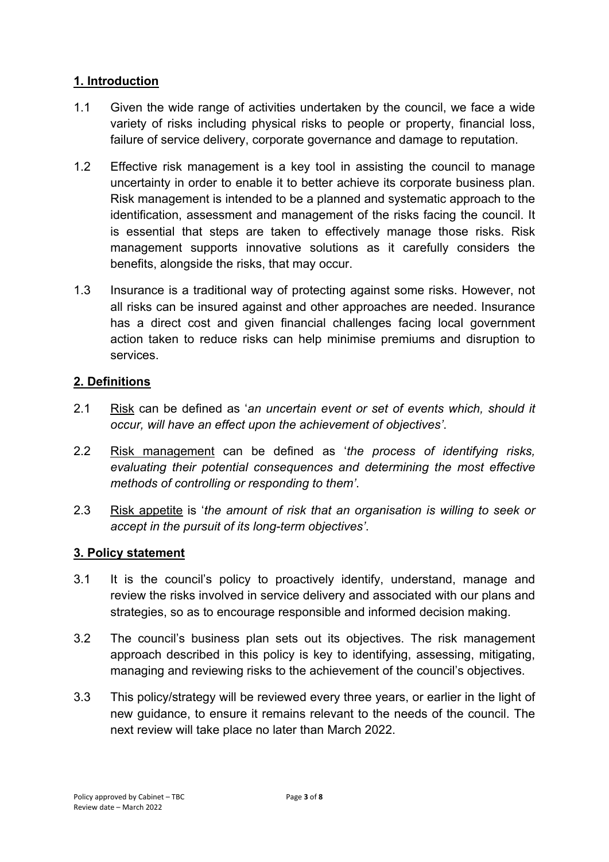### <span id="page-2-0"></span>**1. Introduction**

- 1.1 Given the wide range of activities undertaken by the council, we face a wide variety of risks including physical risks to people or property, financial loss, failure of service delivery, corporate governance and damage to reputation.
- 1.2 Effective risk management is a key tool in assisting the council to manage uncertainty in order to enable it to better achieve its corporate business plan. Risk management is intended to be a planned and systematic approach to the identification, assessment and management of the risks facing the council. It is essential that steps are taken to effectively manage those risks. Risk management supports innovative solutions as it carefully considers the benefits, alongside the risks, that may occur.
- 1.3 Insurance is a traditional way of protecting against some risks. However, not all risks can be insured against and other approaches are needed. Insurance has a direct cost and given financial challenges facing local government action taken to reduce risks can help minimise premiums and disruption to services.

#### <span id="page-2-1"></span>**2. Definitions**

- 2.1 Risk can be defined as '*an uncertain event or set of events which, should it occur, will have an effect upon the achievement of objectives'*.
- 2.2 Risk management can be defined as '*the process of identifying risks, evaluating their potential consequences and determining the most effective methods of controlling or responding to them'*.
- 2.3 Risk appetite is '*the amount of risk that an organisation is willing to seek or accept in the pursuit of its long-term objectives'*.

#### <span id="page-2-2"></span>**3. Policy statement**

- 3.1 It is the council's policy to proactively identify, understand, manage and review the risks involved in service delivery and associated with our plans and strategies, so as to encourage responsible and informed decision making.
- 3.2 The council's business plan sets out its objectives. The risk management approach described in this policy is key to identifying, assessing, mitigating, managing and reviewing risks to the achievement of the council's objectives.
- 3.3 This policy/strategy will be reviewed every three years, or earlier in the light of new guidance, to ensure it remains relevant to the needs of the council. The next review will take place no later than March 2022.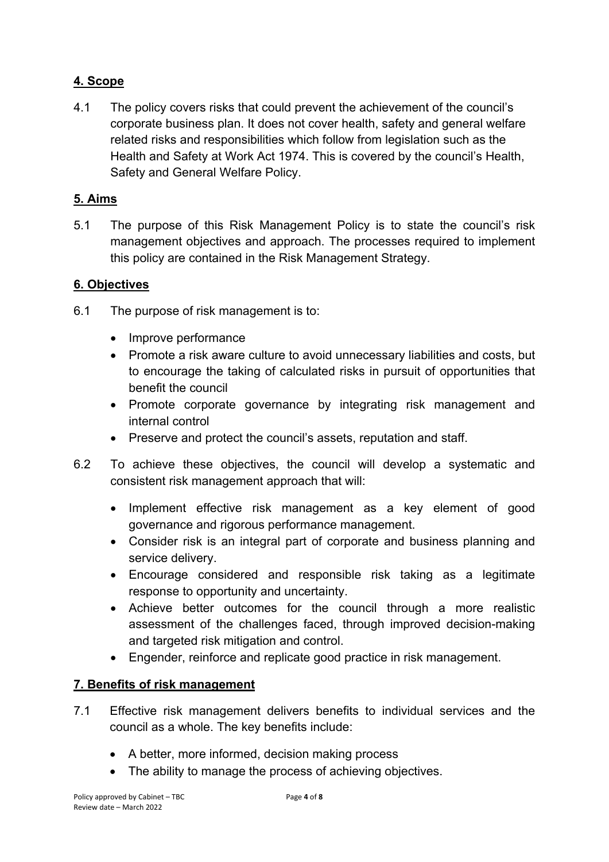## <span id="page-3-0"></span>**4. Scope**

4.1 The policy covers risks that could prevent the achievement of the council's corporate business plan. It does not cover health, safety and general welfare related risks and responsibilities which follow from legislation such as the Health and Safety at Work Act 1974. This is covered by the council's Health, Safety and General Welfare Policy.

#### <span id="page-3-1"></span>**5. Aims**

5.1 The purpose of this Risk Management Policy is to state the council's risk management objectives and approach. The processes required to implement this policy are contained in the Risk Management Strategy.

#### <span id="page-3-2"></span>**6. Objectives**

- 6.1 The purpose of risk management is to:
	- Improve performance
	- Promote a risk aware culture to avoid unnecessary liabilities and costs, but to encourage the taking of calculated risks in pursuit of opportunities that benefit the council
	- Promote corporate governance by integrating risk management and internal control
	- Preserve and protect the council's assets, reputation and staff.
- 6.2 To achieve these objectives, the council will develop a systematic and consistent risk management approach that will:
	- Implement effective risk management as a key element of good governance and rigorous performance management.
	- Consider risk is an integral part of corporate and business planning and service delivery.
	- Encourage considered and responsible risk taking as a legitimate response to opportunity and uncertainty.
	- Achieve better outcomes for the council through a more realistic assessment of the challenges faced, through improved decision-making and targeted risk mitigation and control.
	- Engender, reinforce and replicate good practice in risk management.

#### <span id="page-3-3"></span>**7. Benefits of risk management**

- 7.1 Effective risk management delivers benefits to individual services and the council as a whole. The key benefits include:
	- A better, more informed, decision making process
	- The ability to manage the process of achieving objectives.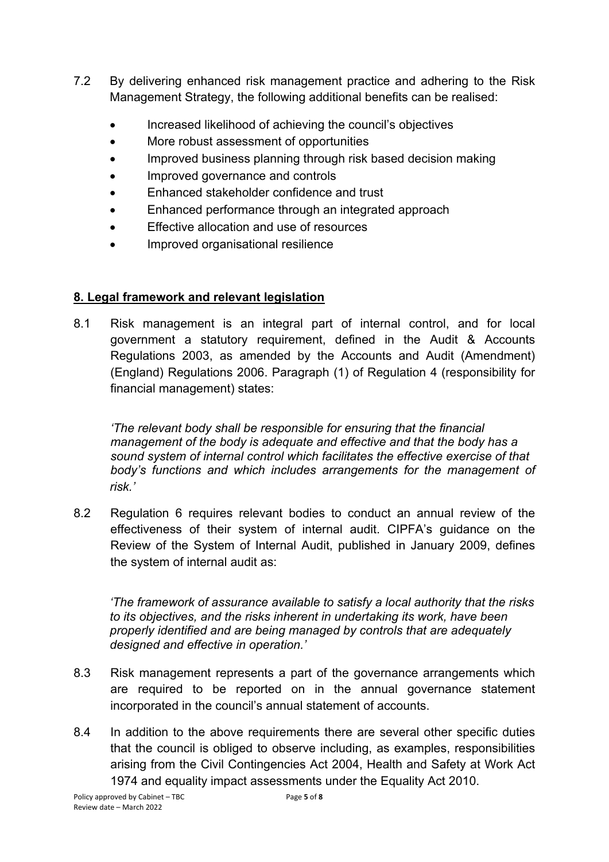- 7.2 By delivering enhanced risk management practice and adhering to the Risk Management Strategy, the following additional benefits can be realised:
	- Increased likelihood of achieving the council's objectives
	- More robust assessment of opportunities
	- Improved business planning through risk based decision making
	- Improved governance and controls
	- Enhanced stakeholder confidence and trust
	- Enhanced performance through an integrated approach
	- Effective allocation and use of resources
	- Improved organisational resilience

## <span id="page-4-0"></span>**8. Legal framework and relevant legislation**

8.1 Risk management is an integral part of internal control, and for local government a statutory requirement, defined in the Audit & Accounts Regulations 2003, as amended by the Accounts and Audit (Amendment) (England) Regulations 2006. Paragraph (1) of Regulation 4 (responsibility for financial management) states:

*'The relevant body shall be responsible for ensuring that the financial management of the body is adequate and effective and that the body has a sound system of internal control which facilitates the effective exercise of that body's functions and which includes arrangements for the management of risk.'*

8.2 Regulation 6 requires relevant bodies to conduct an annual review of the effectiveness of their system of internal audit. CIPFA's guidance on the Review of the System of Internal Audit, published in January 2009, defines the system of internal audit as:

*'The framework of assurance available to satisfy a local authority that the risks to its objectives, and the risks inherent in undertaking its work, have been properly identified and are being managed by controls that are adequately designed and effective in operation.'*

- 8.3 Risk management represents a part of the governance arrangements which are required to be reported on in the annual governance statement incorporated in the council's annual statement of accounts.
- 8.4 In addition to the above requirements there are several other specific duties that the council is obliged to observe including, as examples, responsibilities arising from the Civil Contingencies Act 2004, Health and Safety at Work Act 1974 and equality impact assessments under the Equality Act 2010.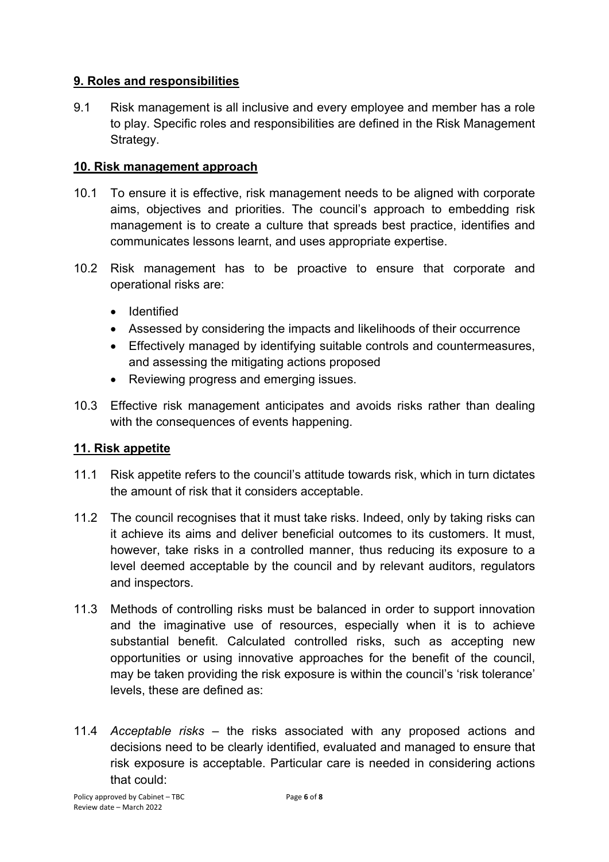#### <span id="page-5-0"></span>**9. Roles and responsibilities**

9.1 Risk management is all inclusive and every employee and member has a role to play. Specific roles and responsibilities are defined in the Risk Management Strategy.

### <span id="page-5-1"></span>**10. Risk management approach**

- 10.1 To ensure it is effective, risk management needs to be aligned with corporate aims, objectives and priorities. The council's approach to embedding risk management is to create a culture that spreads best practice, identifies and communicates lessons learnt, and uses appropriate expertise.
- 10.2 Risk management has to be proactive to ensure that corporate and operational risks are:
	- Identified
	- Assessed by considering the impacts and likelihoods of their occurrence
	- Effectively managed by identifying suitable controls and countermeasures, and assessing the mitigating actions proposed
	- Reviewing progress and emerging issues.
- 10.3 Effective risk management anticipates and avoids risks rather than dealing with the consequences of events happening.

#### <span id="page-5-2"></span>**11. Risk appetite**

- 11.1 Risk appetite refers to the council's attitude towards risk, which in turn dictates the amount of risk that it considers acceptable.
- 11.2 The council recognises that it must take risks. Indeed, only by taking risks can it achieve its aims and deliver beneficial outcomes to its customers. It must, however, take risks in a controlled manner, thus reducing its exposure to a level deemed acceptable by the council and by relevant auditors, regulators and inspectors.
- 11.3 Methods of controlling risks must be balanced in order to support innovation and the imaginative use of resources, especially when it is to achieve substantial benefit. Calculated controlled risks, such as accepting new opportunities or using innovative approaches for the benefit of the council, may be taken providing the risk exposure is within the council's 'risk tolerance' levels, these are defined as:
- 11.4 *Acceptable risks* the risks associated with any proposed actions and decisions need to be clearly identified, evaluated and managed to ensure that risk exposure is acceptable. Particular care is needed in considering actions that could: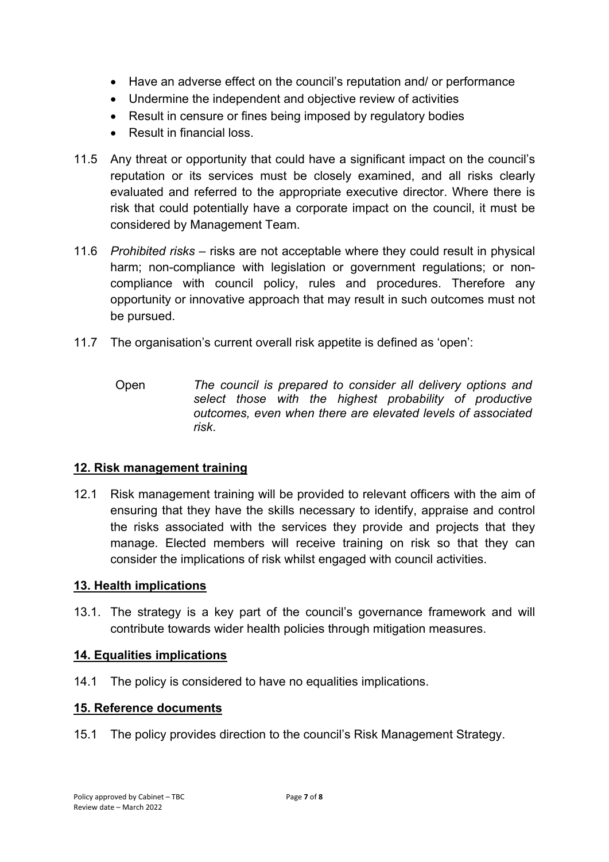- Have an adverse effect on the council's reputation and/ or performance
- Undermine the independent and objective review of activities
- Result in censure or fines being imposed by regulatory bodies
- Result in financial loss.
- 11.5 Any threat or opportunity that could have a significant impact on the council's reputation or its services must be closely examined, and all risks clearly evaluated and referred to the appropriate executive director. Where there is risk that could potentially have a corporate impact on the council, it must be considered by Management Team.
- 11.6 *Prohibited risks* risks are not acceptable where they could result in physical harm; non-compliance with legislation or government regulations; or noncompliance with council policy, rules and procedures. Therefore any opportunity or innovative approach that may result in such outcomes must not be pursued.
- 11.7 The organisation's current overall risk appetite is defined as 'open':
	- Open *The council is prepared to consider all delivery options and select those with the highest probability of productive outcomes, even when there are elevated levels of associated risk*.

#### <span id="page-6-0"></span>**12. Risk management training**

12.1 Risk management training will be provided to relevant officers with the aim of ensuring that they have the skills necessary to identify, appraise and control the risks associated with the services they provide and projects that they manage. Elected members will receive training on risk so that they can consider the implications of risk whilst engaged with council activities.

#### <span id="page-6-1"></span>**13. Health implications**

13.1. The strategy is a key part of the council's governance framework and will contribute towards wider health policies through mitigation measures.

#### <span id="page-6-2"></span>**14. Equalities implications**

14.1 The policy is considered to have no equalities implications.

#### <span id="page-6-3"></span>**15. Reference documents**

<span id="page-6-4"></span>15.1 The policy provides direction to the council's Risk Management Strategy.